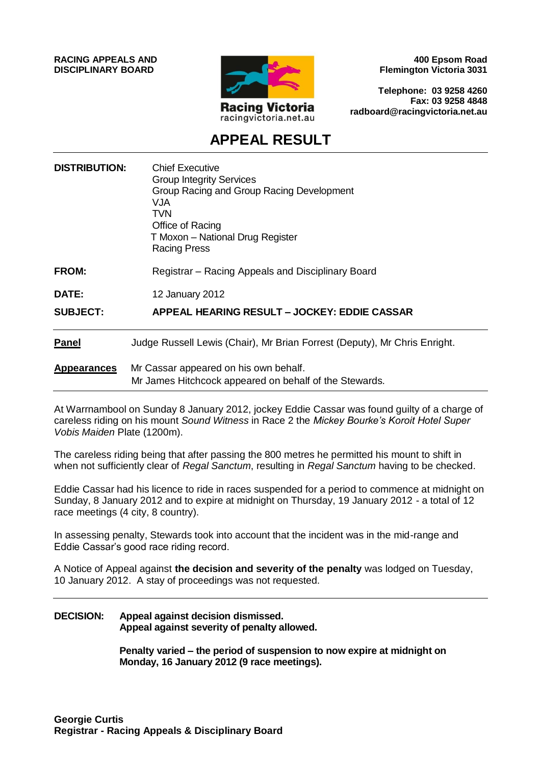**RACING APPEALS AND DISCIPLINARY BOARD**



**400 Epsom Road Flemington Victoria 3031**

**Telephone: 03 9258 4260 Fax: 03 9258 4848 radboard@racingvictoria.net.au**

## **APPEAL RESULT**

| <b>DISTRIBUTION:</b> | <b>Chief Executive</b><br><b>Group Integrity Services</b><br>Group Racing and Group Racing Development<br>VJA<br><b>TVN</b><br>Office of Racing<br>T Moxon - National Drug Register<br><b>Racing Press</b> |
|----------------------|------------------------------------------------------------------------------------------------------------------------------------------------------------------------------------------------------------|
| <b>FROM:</b>         | Registrar - Racing Appeals and Disciplinary Board                                                                                                                                                          |
| <b>DATE:</b>         | 12 January 2012                                                                                                                                                                                            |
| <b>SUBJECT:</b>      | APPEAL HEARING RESULT - JOCKEY: EDDIE CASSAR                                                                                                                                                               |
| <b>Panel</b>         | Judge Russell Lewis (Chair), Mr Brian Forrest (Deputy), Mr Chris Enright.                                                                                                                                  |
| <b>Appearances</b>   | Mr Cassar appeared on his own behalf.<br>Mr James Hitchcock appeared on behalf of the Stewards.                                                                                                            |

At Warrnambool on Sunday 8 January 2012, jockey Eddie Cassar was found guilty of a charge of careless riding on his mount *Sound Witness* in Race 2 the *Mickey Bourke's Koroit Hotel Super Vobis Maiden* Plate (1200m).

The careless riding being that after passing the 800 metres he permitted his mount to shift in when not sufficiently clear of *Regal Sanctum*, resulting in *Regal Sanctum* having to be checked.

Eddie Cassar had his licence to ride in races suspended for a period to commence at midnight on Sunday, 8 January 2012 and to expire at midnight on Thursday, 19 January 2012 - a total of 12 race meetings (4 city, 8 country).

In assessing penalty, Stewards took into account that the incident was in the mid-range and Eddie Cassar's good race riding record.

A Notice of Appeal against **the decision and severity of the penalty** was lodged on Tuesday, 10 January 2012. A stay of proceedings was not requested.

#### **DECISION: Appeal against decision dismissed. Appeal against severity of penalty allowed.**

**Penalty varied – the period of suspension to now expire at midnight on Monday, 16 January 2012 (9 race meetings).**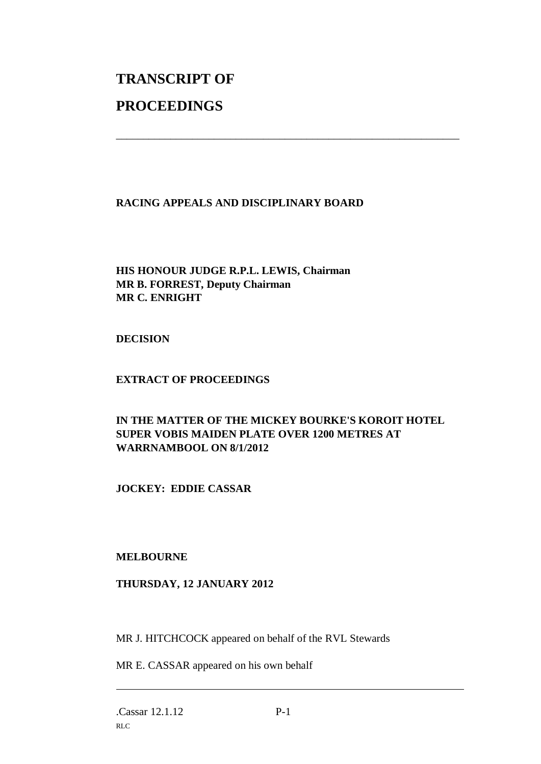# **TRANSCRIPT OF PROCEEDINGS**

#### **RACING APPEALS AND DISCIPLINARY BOARD**

\_\_\_\_\_\_\_\_\_\_\_\_\_\_\_\_\_\_\_\_\_\_\_\_\_\_\_\_\_\_\_\_\_\_\_\_\_\_\_\_\_\_\_\_\_\_\_\_\_\_\_\_\_\_\_\_\_\_\_\_\_\_\_

### **HIS HONOUR JUDGE R.P.L. LEWIS, Chairman MR B. FORREST, Deputy Chairman MR C. ENRIGHT**

**DECISION**

### **EXTRACT OF PROCEEDINGS**

### **IN THE MATTER OF THE MICKEY BOURKE'S KOROIT HOTEL SUPER VOBIS MAIDEN PLATE OVER 1200 METRES AT WARRNAMBOOL ON 8/1/2012**

**JOCKEY: EDDIE CASSAR**

#### **MELBOURNE**

### **THURSDAY, 12 JANUARY 2012**

MR J. HITCHCOCK appeared on behalf of the RVL Stewards

MR E. CASSAR appeared on his own behalf